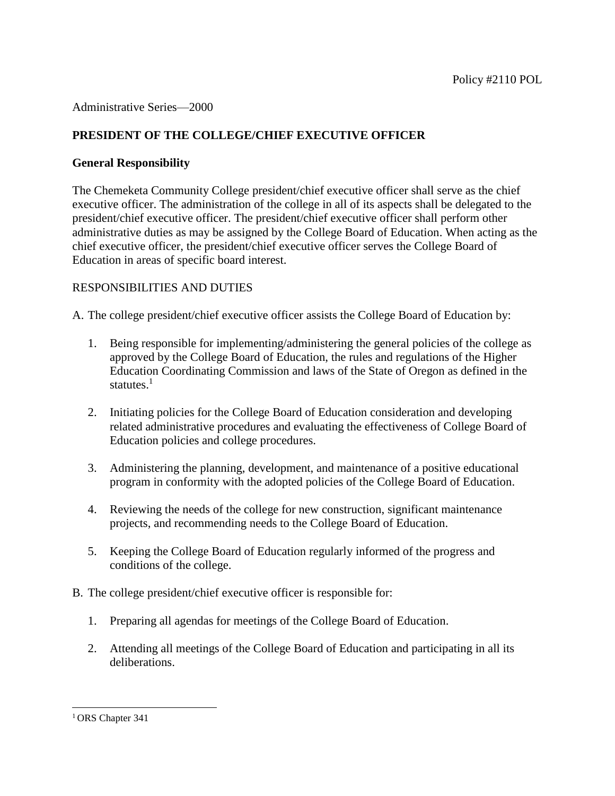### Administrative Series—2000

# **PRESIDENT OF THE COLLEGE/CHIEF EXECUTIVE OFFICER**

## **General Responsibility**

The Chemeketa Community College president/chief executive officer shall serve as the chief executive officer. The administration of the college in all of its aspects shall be delegated to the president/chief executive officer. The president/chief executive officer shall perform other administrative duties as may be assigned by the College Board of Education. When acting as the chief executive officer, the president/chief executive officer serves the College Board of Education in areas of specific board interest.

## RESPONSIBILITIES AND DUTIES

A. The college president/chief executive officer assists the College Board of Education by:

- 1. Being responsible for implementing/administering the general policies of the college as approved by the College Board of Education, the rules and regulations of the Higher Education Coordinating Commission and laws of the State of Oregon as defined in the statutes. $1$
- 2. Initiating policies for the College Board of Education consideration and developing related administrative procedures and evaluating the effectiveness of College Board of Education policies and college procedures.
- 3. Administering the planning, development, and maintenance of a positive educational program in conformity with the adopted policies of the College Board of Education.
- 4. Reviewing the needs of the college for new construction, significant maintenance projects, and recommending needs to the College Board of Education.
- 5. Keeping the College Board of Education regularly informed of the progress and conditions of the college.
- B. The college president/chief executive officer is responsible for:
	- 1. Preparing all agendas for meetings of the College Board of Education.
	- 2. Attending all meetings of the College Board of Education and participating in all its deliberations.

l

<sup>&</sup>lt;sup>1</sup> ORS Chapter 341